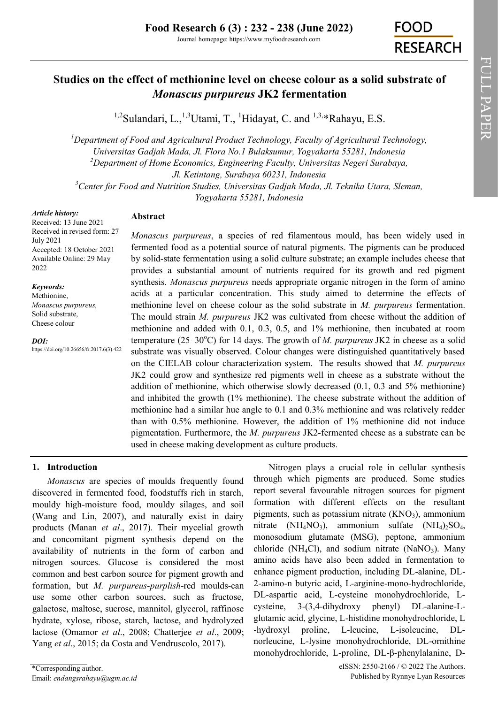FULL PAPER

FULL PAPER

# **Studies on the effect of methionine level on cheese colour as a solid substrate of**  *Monascus purpureus* **JK2 fermentation**

<sup>1,2</sup>[Sulandari, L.,](https://orcid.org/0000-0002-7730-4091)<sup>1,3</sup>[Utami, T.,](https://orcid.org/0000-0003-3600-6060) <sup>1</sup>Hidayat, C. and <sup>1,3,\*</sup>Rahayu, E.S.

*<sup>1</sup>Department of Food and Agricultural Product Technology, Faculty of Agricultural Technology, Universitas Gadjah Mada, Jl. Flora No.1 Bulaksumur, Yogyakarta 55281, Indonesia <sup>2</sup>Department of Home Economics, Engineering Faculty, Universitas Negeri Surabaya, Jl. Ketintang, Surabaya 60231, Indonesia <sup>3</sup>Center for Food and Nutrition Studies, Universitas Gadjah Mada, Jl. Teknika Utara, Sleman, Yogyakarta 55281, Indonesia*

#### *Article history:*

Received: 13 June 2021 Received in revised form: 27 July 2021 Accepted: 18 October 2021 Available Online: 29 May 2022

#### *Keywords:*

Methionine, *Monascus purpureus,*  Solid substrate, Cheese colour

*DOI:* https://doi.org/10.26656/fr.2017.6(3).422

# **Abstract**

*Monascus purpureus*, a species of red filamentous mould, has been widely used in fermented food as a potential source of natural pigments. The pigments can be produced by solid-state fermentation using a solid culture substrate; an example includes cheese that provides a substantial amount of nutrients required for its growth and red pigment synthesis. *Monascus purpureus* needs appropriate organic nitrogen in the form of amino acids at a particular concentration. This study aimed to determine the effects of methionine level on cheese colour as the solid substrate in *M. purpureus* fermentation. The mould strain *M. purpureus* JK2 was cultivated from cheese without the addition of methionine and added with 0.1, 0.3, 0.5, and 1% methionine, then incubated at room temperature  $(25-30^{\circ}\text{C})$  for 14 days. The growth of *M. purpureus* JK2 in cheese as a solid substrate was visually observed. Colour changes were distinguished quantitatively based on the CIELAB colour characterization system. The results showed that *M. purpureus*  JK2 could grow and synthesize red pigments well in cheese as a substrate without the addition of methionine, which otherwise slowly decreased (0.1, 0.3 and 5% methionine) and inhibited the growth (1% methionine). The cheese substrate without the addition of methionine had a similar hue angle to 0.1 and 0.3% methionine and was relatively redder than with 0.5% methionine. However, the addition of 1% methionine did not induce pigmentation. Furthermore, the *M. purpureus* JK2-fermented cheese as a substrate can be used in cheese making development as culture products.

# **1. Introduction**

*Monascus* are species of moulds frequently found discovered in fermented food, foodstuffs rich in starch, mouldy high-moisture food, mouldy silages, and soil (Wang and Lin, 2007), and naturally exist in dairy products (Manan *et al*., 2017). Their mycelial growth and concomitant pigment synthesis depend on the availability of nutrients in the form of carbon and nitrogen sources. Glucose is considered the most common and best carbon source for pigment growth and formation, but *M. purpureus-purplish-*red moulds*-*can use some other carbon sources, such as fructose, galactose, maltose, sucrose, mannitol, glycerol, raffinose hydrate, xylose, ribose, starch, lactose, and hydrolyzed lactose (Omamor *et al*., 2008; Chatterjee *et al*., 2009; Yang *et al*., 2015; da Costa and Vendruscolo, 2017).

Nitrogen plays a crucial role in cellular synthesis through which pigments are produced. Some studies report several favourable nitrogen sources for pigment formation with different effects on the resultant pigments, such as potassium nitrate  $(KNO<sub>3</sub>)$ , ammonium nitrate (NH<sub>4</sub>NO<sub>3</sub>), ammonium sulfate (NH<sub>4</sub>)<sub>2</sub>SO<sub>4</sub>, monosodium glutamate (MSG), peptone, ammonium chloride (NH<sub>4</sub>Cl), and sodium nitrate (NaNO<sub>3</sub>). Many amino acids have also been added in fermentation to enhance pigment production, including DL-alanine, DL-2-amino-n butyric acid, L-arginine-mono-hydrochloride, DL-aspartic acid, L-cysteine monohydrochloride, Lcysteine, 3-(3,4-dihydroxy phenyl) DL-alanine-Lglutamic acid, glycine, L-histidine monohydrochloride, L -hydroxyl proline, L-leucine, L-isoleucine, DLnorleucine, L-lysine monohydrochloride, DL-ornithine monohydrochloride, L-proline, DL-β-phenylalanine, D-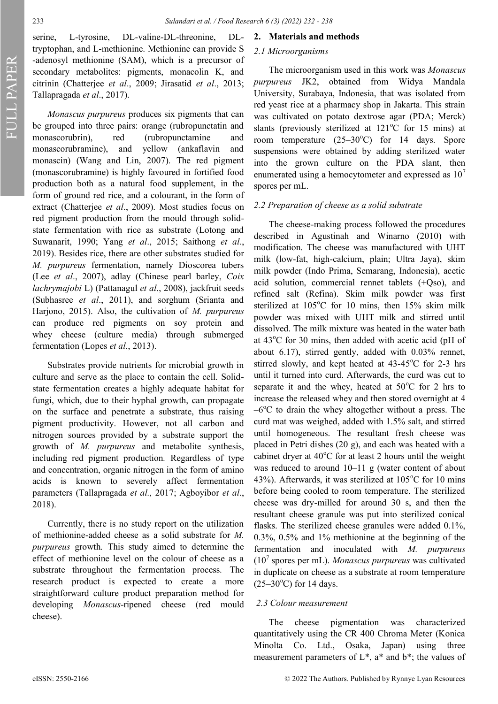FULL PAPER

serine, L-tyrosine, DL-valine-DL-threonine, DLtryptophan, and L-methionine. Methionine can provide S -adenosyl methionine (SAM), which is a precursor of secondary metabolites: pigments, monacolin K, and citrinin (Chatterjee *et al*., 2009; Jirasatid *et al*., 2013; Tallapragada *et al*., 2017).

*Monascus purpureus* produces six pigments that can be grouped into three pairs: orange (rubropunctatin and monascorubrin), red (rubropunctamine and monascorubramine), and yellow (ankaflavin and monascin) (Wang and Lin, 2007). The red pigment (monascorubramine) is highly favoured in fortified food production both as a natural food supplement, in the form of ground red rice, and a colourant, in the form of extract (Chatterjee *et al*., 2009). Most studies focus on red pigment production from the mould through solidstate fermentation with rice as substrate (Lotong and Suwanarit, 1990; Yang *et al*., 2015; Saithong *et al*., 2019). Besides rice, there are other substrates studied for *M. purpureus* fermentation, namely Dioscorea tubers (Lee *et al*., 2007), adlay (Chinese pearl barley, *Coix lachrymajobi* L) (Pattanagul *et al*., 2008), jackfruit seeds (Subhasree *et al*., 2011), and sorghum (Srianta and Harjono, 2015). Also, the cultivation of *M. purpureus*  can produce red pigments on soy protein and whey cheese (culture media) through submerged fermentation (Lopes *et al*., 2013).

Substrates provide nutrients for microbial growth in culture and serve as the place to contain the cell. Solidstate fermentation creates a highly adequate habitat for fungi, which, due to their hyphal growth, can propagate on the surface and penetrate a substrate, thus raising pigment productivity. However, not all carbon and nitrogen sources provided by a substrate support the growth of *M. purpureus* and metabolite synthesis, including red pigment production*.* Regardless of type and concentration, organic nitrogen in the form of amino acids is known to severely affect fermentation parameters (Tallapragada *et al.,* 2017; Agboyibor *et al*., 2018).

Currently, there is no study report on the utilization of methionine-added cheese as a solid substrate for *M. purpureus* growth*.* This study aimed to determine the effect of methionine level on the colour of cheese as a substrate throughout the fermentation process*.* The research product is expected to create a more straightforward culture product preparation method for developing *Monascus*-ripened cheese (red mould cheese).

#### **2. Materials and methods**

## *2.1 Microorganisms*

The microorganism used in this work was *Monascus purpureus* JK2, obtained from Widya Mandala University, Surabaya, Indonesia, that was isolated from red yeast rice at a pharmacy shop in Jakarta. This strain was cultivated on potato dextrose agar (PDA; Merck) slants (previously sterilized at  $121^{\circ}$ C for 15 mins) at room temperature  $(25-30^{\circ}\text{C})$  for 14 days. Spore suspensions were obtained by adding sterilized water into the grown culture on the PDA slant, then enumerated using a hemocytometer and expressed as  $10<sup>7</sup>$ spores per mL.

## *2.2 Preparation of cheese as a solid substrate*

The cheese-making process followed the procedures described in Agustinah and Winarno (2010) with modification. The cheese was manufactured with UHT milk (low-fat, high-calcium, plain; Ultra Jaya), skim milk powder (Indo Prima, Semarang, Indonesia), acetic acid solution, commercial rennet tablets (+Qso), and refined salt (Refina). Skim milk powder was first sterilized at  $105^{\circ}$ C for 10 mins, then  $15\%$  skim milk powder was mixed with UHT milk and stirred until dissolved. The milk mixture was heated in the water bath at  $43^{\circ}$ C for 30 mins, then added with acetic acid (pH of about 6.17), stirred gently, added with 0.03% rennet, stirred slowly, and kept heated at  $43-45^{\circ}$ C for 2-3 hrs until it turned into curd. Afterwards, the curd was cut to separate it and the whey, heated at  $50^{\circ}$ C for 2 hrs to increase the released whey and then stored overnight at 4  $-6^{\circ}$ C to drain the whey altogether without a press. The curd mat was weighed, added with 1.5% salt, and stirred until homogeneous. The resultant fresh cheese was placed in Petri dishes (20 g), and each was heated with a cabinet dryer at  $40^{\circ}$ C for at least 2 hours until the weight was reduced to around  $10-11$  g (water content of about 43%). Afterwards, it was sterilized at  $105^{\circ}$ C for 10 mins before being cooled to room temperature. The sterilized cheese was dry-milled for around 30 s, and then the resultant cheese granule was put into sterilized conical flasks. The sterilized cheese granules were added 0.1%, 0.3%, 0.5% and 1% methionine at the beginning of the fermentation and inoculated with *M. purpureus*  (10<sup>7</sup> spores per mL). *Monascus purpureus* was cultivated in duplicate on cheese as a substrate at room temperature  $(25-30^{\circ}C)$  for 14 days.

## *2.3 Colour measurement*

The cheese pigmentation was characterized quantitatively using the CR 400 Chroma Meter (Konica Minolta Co. Ltd., Osaka, Japan) using three measurement parameters of  $L^*$ ,  $a^*$  and  $b^*$ ; the values of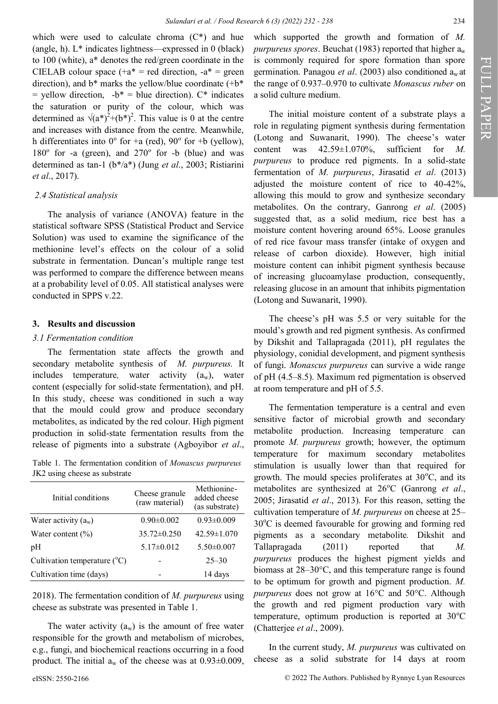which were used to calculate chroma (C\*) and hue (angle, h). L\* indicates lightness—expressed in 0 (black) to 100 (white), a\* denotes the red/green coordinate in the CIELAB colour space  $(+a^* = red$  direction,  $-a^* = green$ direction), and  $b^*$  marks the yellow/blue coordinate  $(+b^*)$  $=$  yellow direction,  $-b^* =$  blue direction).  $C^*$  indicates the saturation or purity of the colour, which was determined as  $\sqrt{(a^*)^2 + (b^*)^2}$ . This value is 0 at the centre and increases with distance from the centre. Meanwhile, h differentiates into  $0^{\circ}$  for +a (red),  $90^{\circ}$  for +b (yellow),  $180^\circ$  for -a (green), and  $270^\circ$  for -b (blue) and was determined as tan-1 (b\*/a\*) (Jung *et al*., 2003; Ristiarini *et al*., 2017).

## *2.4 Statistical analysis*

The analysis of variance (ANOVA) feature in the statistical software SPSS (Statistical Product and Service Solution) was used to examine the significance of the methionine level's effects on the colour of a solid substrate in fermentation. Duncan's multiple range test was performed to compare the difference between means at a probability level of 0.05. All statistical analyses were conducted in SPPS v.22.

## **3. Results and discussion**

#### *3.1 Fermentation condition*

The fermentation state affects the growth and secondary metabolite synthesis of *M. purpureus.* It includes temperature, water activity (a<sub>w</sub>), water content (especially for solid-state fermentation), and pH. In this study, cheese was conditioned in such a way that the mould could grow and produce secondary metabolites, as indicated by the red colour. High pigment production in solid-state fermentation results from the release of pigments into a substrate (Agboyibor *et al*.,

Table 1. The fermentation condition of *Monascus purpureus*  JK2 using cheese as substrate

| Initial conditions                      | Cheese granule<br>(raw material) | Methionine-<br>added cheese<br>(as substrate) |
|-----------------------------------------|----------------------------------|-----------------------------------------------|
| Water activity $(a_w)$                  | $0.90 \pm 0.002$                 | $0.93 \pm 0.009$                              |
| Water content $(\% )$                   | $35.72 \pm 0.250$                | $42.59 \pm 1.070$                             |
| pН                                      | $5.17 \pm 0.012$                 | $5.50\pm0.007$                                |
| Cultivation temperature $({}^{\circ}C)$ |                                  | $25 - 30$                                     |
| Cultivation time (days)                 |                                  | 14 days                                       |

2018). The fermentation condition of *M. purpureus* using cheese as substrate was presented in Table 1.

The water activity  $(a_w)$  is the amount of free water responsible for the growth and metabolism of microbes, e.g., fungi, and biochemical reactions occurring in a food product. The initial  $a_w$  of the cheese was at  $0.93\pm0.009$ ,

which supported the growth and formation of *M. purpureus spores.* Beuchat (1983) reported that higher  $a_w$ is commonly required for spore formation than spore germination. Panagou *et al*. (2003) also conditioned aw at the range of 0.937‒0.970 to cultivate *Monascus ruber* on a solid culture medium.

The initial moisture content of a substrate plays a role in regulating pigment synthesis during fermentation (Lotong and Suwanarit, 1990). The cheese's water content was 42.59±1.070%, sufficient for *M. purpureus* to produce red pigments. In a solid-state fermentation of *M. purpureus*, Jirasatid *et al*. (2013) adjusted the moisture content of rice to 40-42%, allowing this mould to grow and synthesize secondary metabolites. On the contrary, Ganrong *et al*. (2005) suggested that, as a solid medium, rice best has a moisture content hovering around 65%. Loose granules of red rice favour mass transfer (intake of oxygen and release of carbon dioxide). However, high initial moisture content can inhibit pigment synthesis because of increasing glucoamylase production, consequently, releasing glucose in an amount that inhibits pigmentation (Lotong and Suwanarit, 1990).

The cheese's pH was 5.5 or very suitable for the mould's growth and red pigment synthesis. As confirmed by Dikshit and Tallapragada (2011), pH regulates the physiology, conidial development, and pigment synthesis of fungi. *Monascus purpureus* can survive a wide range of pH (4.5‒8.5). Maximum red pigmentation is observed at room temperature and pH of 5.5.

The fermentation temperature is a central and even sensitive factor of microbial growth and secondary metabolite production. Increasing temperature can promote *M. purpureus* growth; however, the optimum temperature for maximum secondary metabolites stimulation is usually lower than that required for growth. The mould species proliferates at  $30^{\circ}$ C, and its metabolites are synthesized at 26°C (Ganrong et al., 2005; Jirasatid *et al*., 2013). For this reason, setting the cultivation temperature of *M. purpureus* on cheese at 25–  $30^{\circ}$ C is deemed favourable for growing and forming red pigments as a secondary metabolite*.* Dikshit and Tallapragada (2011) reported that *M. purpureus* produces the highest pigment yields and biomass at  $28-30^{\circ}$ C, and this temperature range is found to be optimum for growth and pigment production. *M. purpureus* does not grow at 16°C and 50°C. Although the growth and red pigment production vary with temperature, optimum production is reported at  $30^{\circ}$ C (Chatterjee *et al*., 2009).

In the current study, *M. purpureus* was cultivated on cheese as a solid substrate for 14 days at room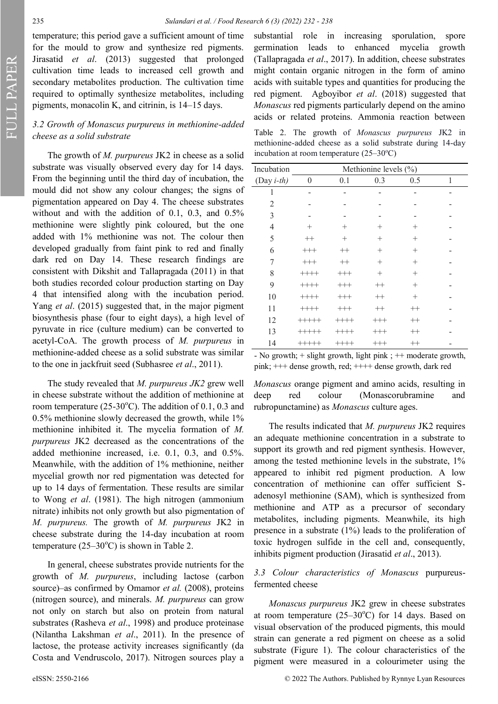FULL PAPER

temperature; this period gave a sufficient amount of time for the mould to grow and synthesize red pigments. Jirasatid *et al*. (2013) suggested that prolonged cultivation time leads to increased cell growth and secondary metabolites production. The cultivation time required to optimally synthesize metabolites, including pigments, monacolin K, and citrinin, is  $14-15$  days.

# *3.2 Growth of Monascus purpureus in methionine-added cheese as a solid substrate*

The growth of *M. purpureus* JK2 in cheese as a solid substrate was visually observed every day for 14 days. From the beginning until the third day of incubation, the mould did not show any colour changes; the signs of pigmentation appeared on Day 4. The cheese substrates without and with the addition of 0.1, 0.3, and 0.5% methionine were slightly pink coloured, but the one added with 1% methionine was not. The colour then developed gradually from faint pink to red and finally dark red on Day 14. These research findings are consistent with Dikshit and Tallapragada (2011) in that both studies recorded colour production starting on Day 4 that intensified along with the incubation period. Yang *et al*. (2015) suggested that, in the major pigment biosynthesis phase (four to eight days), a high level of pyruvate in rice (culture medium) can be converted to acetyl-CoA. The growth process of *M. purpureus* in methionine-added cheese as a solid substrate was similar to the one in jackfruit seed (Subhasree *et al*., 2011).

The study revealed that *M. purpureus JK2* grew well in cheese substrate without the addition of methionine at room temperature (25-30°C). The addition of  $0.1$ ,  $0.3$  and 0.5% methionine slowly decreased the growth, while 1% methionine inhibited it. The mycelia formation of *M. purpureus* JK2 decreased as the concentrations of the added methionine increased, i.e. 0.1, 0.3, and 0.5%. Meanwhile, with the addition of 1% methionine, neither mycelial growth nor red pigmentation was detected for up to 14 days of fermentation. These results are similar to Wong *et al*. (1981). The high nitrogen (ammonium nitrate) inhibits not only growth but also pigmentation of *M. purpureus.* The growth of *M. purpureus* JK2 in cheese substrate during the 14-day incubation at room temperature ( $25-30^{\circ}$ C) is shown in Table 2.

In general, cheese substrates provide nutrients for the growth of *M. purpureus*, including lactose (carbon source)—as confirmed by Omamor *et al.* (2008), proteins (nitrogen source), and minerals. *M. purpureus* can grow not only on starch but also on protein from natural substrates (Rasheva *et al*., 1998) and produce proteinase (Nilantha Lakshman *et al*., 2011). In the presence of lactose, the protease activity increases significantly (da Costa and Vendruscolo, 2017). Nitrogen sources play a

substantial role in increasing sporulation, spore germination leads to enhanced mycelia growth (Tallapragada *et al*., 2017). In addition, cheese substrates might contain organic nitrogen in the form of amino acids with suitable types and quantities for producing the red pigment. Agboyibor *et al*. (2018) suggested that *Monascus* red pigments particularly depend on the amino acids or related proteins. Ammonia reaction between

Table 2. The growth of *Monascus purpureus* JK2 in methionine-added cheese as a solid substrate during 14-day incubation at room temperature  $(25-30^{\circ}C)$ 

| Incubation     | Methionine levels (%) |          |          |         |   |  |  |
|----------------|-----------------------|----------|----------|---------|---|--|--|
| (Day $i$ -th)  | $\boldsymbol{0}$      | 0.1      | 0.3      | 0.5     | 1 |  |  |
| 1              |                       |          |          |         |   |  |  |
| $\overline{2}$ |                       |          |          |         |   |  |  |
| 3              |                       |          |          |         |   |  |  |
| $\overline{4}$ | $^{+}$                | $^{+}$   | $\pm$    | $^{+}$  |   |  |  |
| 5              | $^{++}$               | $^{+}$   | $^{+}$   | $^{+}$  |   |  |  |
| 6              | $^{+++}$              | $^{++}$  | $^{+}$   | $^{+}$  |   |  |  |
| 7              | $^{+++}$              | $++$     | $^{+}$   | $^{+}$  |   |  |  |
| 8              | $+++++$               | $^{+++}$ | $^{+}$   | $^{+}$  |   |  |  |
| 9              | $++++$                | $^{+++}$ | $^{++}$  | $^{+}$  |   |  |  |
| 10             | $++++$                | $^{+++}$ | $++$     | $^{+}$  |   |  |  |
| 11             | $++++$                | $^{+++}$ | $^{++}$  | $++$    |   |  |  |
| 12             | $+++++$               | $+++++$  | $^{+++}$ | $^{++}$ |   |  |  |
| 13             | $+++++$               | $+++++$  | $^{+++}$ | $^{++}$ |   |  |  |
| 14             | $+++++$               | ++++     | $^{+++}$ | $^{++}$ |   |  |  |

- No growth; + slight growth, light pink ; ++ moderate growth, pink; +++ dense growth, red; ++++ dense growth, dark red

*Monascus* orange pigment and amino acids, resulting in deep red colour (Monascorubramine and rubropunctamine) as *Monascus* culture ages.

The results indicated that *M. purpureus* JK2 requires an adequate methionine concentration in a substrate to support its growth and red pigment synthesis. However, among the tested methionine levels in the substrate, 1% appeared to inhibit red pigment production. A low concentration of methionine can offer sufficient Sadenosyl methionine (SAM), which is synthesized from methionine and ATP as a precursor of secondary metabolites, including pigments. Meanwhile, its high presence in a substrate (1%) leads to the proliferation of toxic hydrogen sulfide in the cell and, consequently, inhibits pigment production (Jirasatid *et al*., 2013).

# *3.3 Colour characteristics of Monascus* purpureusfermented cheese

*Monascus purpureus* JK2 grew in cheese substrates at room temperature  $(25-30^{\circ}C)$  for 14 days. Based on visual observation of the produced pigments, this mould strain can generate a red pigment on cheese as a solid substrate (Figure 1). The colour characteristics of the pigment were measured in a colourimeter using the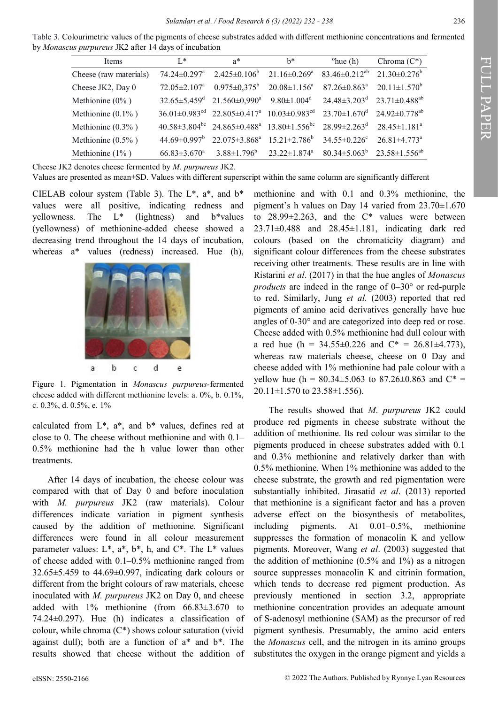Table 3. Colourimetric values of the pigments of cheese substrates added with different methionine concentrations and fermented by *Monascus purpureus* JK2 after 14 days of incubation

| <b>Items</b>           | $L^*$                          | $a^*$                                                                                                                                                          | $h^*$                                                                                        | $^{\circ}$ hue (h)                         | Chroma $(C^*)$                                      |
|------------------------|--------------------------------|----------------------------------------------------------------------------------------------------------------------------------------------------------------|----------------------------------------------------------------------------------------------|--------------------------------------------|-----------------------------------------------------|
| Cheese (raw materials) |                                | $74.24 \pm 0.297^{\mathrm{a}}$ 2.425 $\pm$ 0.106 <sup>b</sup>                                                                                                  | $21.16 \pm 0.269$ <sup>a</sup>                                                               | $83.46 \pm 0.212^{ab}$ $21.30 \pm 0.276^b$ |                                                     |
| Cheese JK2, Day 0      | $72.05 \pm 2.107$ <sup>a</sup> | $0.975 \pm 0.375^b$                                                                                                                                            | $20.08 \pm 1.156^{\circ}$                                                                    |                                            | $87.26 \pm 0.863^a$ $20.11 \pm 1.570^b$             |
| Methionine $(0\%$ )    |                                | $32.65 \pm 5.459$ <sup>d</sup> $21.560 \pm 0.990$ <sup>a</sup>                                                                                                 | $9.80 \pm 1.004$ <sup>d</sup> $24.48 \pm 3.203$ <sup>d</sup> $23.71 \pm 0.488$ <sup>ab</sup> |                                            |                                                     |
| Methionine $(0.1\%)$   |                                | $36.01 \pm 0.983$ <sup>cd</sup> $22.805 \pm 0.417$ <sup>a</sup> $10.03 \pm 0.983$ <sup>cd</sup> $23.70 \pm 1.670$ <sup>d</sup> $24.92 \pm 0.778$ <sup>ab</sup> |                                                                                              |                                            |                                                     |
| Methionine $(0.3\%$ )  |                                | $40.58\pm3.804^{bc}$ $24.865\pm0.488^a$ $13.80\pm1.556^{bc}$ $28.99\pm2.263^d$ $28.45\pm1.181^a$                                                               |                                                                                              |                                            |                                                     |
| Methionine $(0.5\%$ )  |                                | $44.69 \pm 0.997^b$ 22.075 $\pm$ 3.868 <sup>a</sup> 15.21 $\pm$ 2.786 <sup>b</sup>                                                                             |                                                                                              | $34.55 \pm 0.226$ °                        | $26.81 \pm 4.773$ <sup>a</sup>                      |
| Methionine $(1\%$ )    | $66.83 \pm 3.670$ <sup>a</sup> | $3.88 \pm 1.796^b$                                                                                                                                             | $23.22 \pm 1.874$ <sup>a</sup>                                                               |                                            | $80.34 \pm 5.063^{\circ}$ $23.58 \pm 1.556^{\circ}$ |

Cheese JK2 denotes cheese fermented by *M. purpureus* JK2.

Values are presented as mean±SD. Values with different superscript within the same column are significantly different

CIELAB colour system (Table 3). The  $L^*$ ,  $a^*$ , and  $b^*$ values were all positive, indicating redness and yellowness. The L\* (lightness) and b\*values (yellowness) of methionine-added cheese showed a decreasing trend throughout the 14 days of incubation, whereas a\* values (redness) increased. Hue (h),



Figure 1. Pigmentation in *Monascus purpureus*-fermented cheese added with different methionine levels: a. 0%, b. 0.1%, c. 0.3%, d. 0.5%, e. 1%

calculated from L\*, a\*, and b\* values, defines red at close to 0. The cheese without methionine and with  $0.1$ – 0.5% methionine had the h value lower than other treatments.

After 14 days of incubation, the cheese colour was compared with that of Day 0 and before inoculation with *M. purpureus* JK2 (raw materials). Colour differences indicate variation in pigment synthesis caused by the addition of methionine. Significant differences were found in all colour measurement parameter values:  $L^*$ ,  $a^*$ ,  $b^*$ , h, and  $C^*$ . The  $L^*$  values of cheese added with 0.1‒0.5% methionine ranged from 32.65±5.459 to 44.69±0.997, indicating dark colours or different from the bright colours of raw materials, cheese inoculated with *M. purpureus* JK2 on Day 0, and cheese added with 1% methionine (from 66.83±3.670 to 74.24±0.297). Hue (h) indicates a classification of colour, while chroma  $(C^*)$  shows colour saturation (vivid against dull); both are a function of a\* and b\*. The results showed that cheese without the addition of

methionine and with 0.1 and 0.3% methionine, the pigment's h values on Day 14 varied from 23.70±1.670 to  $28.99 \pm 2.263$ , and the C<sup>\*</sup> values were between 23.71±0.488 and 28.45±1.181, indicating dark red colours (based on the chromaticity diagram) and significant colour differences from the cheese substrates receiving other treatments. These results are in line with Ristarini *et al*. (2017) in that the hue angles of *Monascus products* are indeed in the range of 0–30° or red-purple to red. Similarly, Jung *et al.* (2003) reported that red pigments of amino acid derivatives generally have hue angles of 0-30° and are categorized into deep red or rose. Cheese added with 0.5% methionine had dull colour with a red hue (h =  $34.55\pm0.226$  and  $C^* = 26.81\pm4.773$ ), whereas raw materials cheese, cheese on 0 Day and cheese added with 1% methionine had pale colour with a yellow hue (h =  $80.34 \pm 5.063$  to  $87.26 \pm 0.863$  and  $C^*$  = 20.11±1.570 to 23.58±1.556).

The results showed that *M*. *purpureus* JK2 could produce red pigments in cheese substrate without the addition of methionine. Its red colour was similar to the pigments produced in cheese substrates added with 0.1 and 0.3% methionine and relatively darker than with 0.5% methionine. When 1% methionine was added to the cheese substrate, the growth and red pigmentation were substantially inhibited. Jirasatid *et al*. (2013) reported that methionine is a significant factor and has a proven adverse effect on the biosynthesis of metabolites, including pigments. At  $0.01-0.5\%$ , methionine suppresses the formation of monacolin K and yellow pigments. Moreover, Wang *et al*. (2003) suggested that the addition of methionine (0.5% and 1%) as a nitrogen source suppresses monacolin K and citrinin formation, which tends to decrease red pigment production. As previously mentioned in section 3.2, appropriate methionine concentration provides an adequate amount of S-adenosyl methionine (SAM) as the precursor of red pigment synthesis. Presumably, the amino acid enters the *Monascus* cell, and the nitrogen in its amino groups substitutes the oxygen in the orange pigment and yields a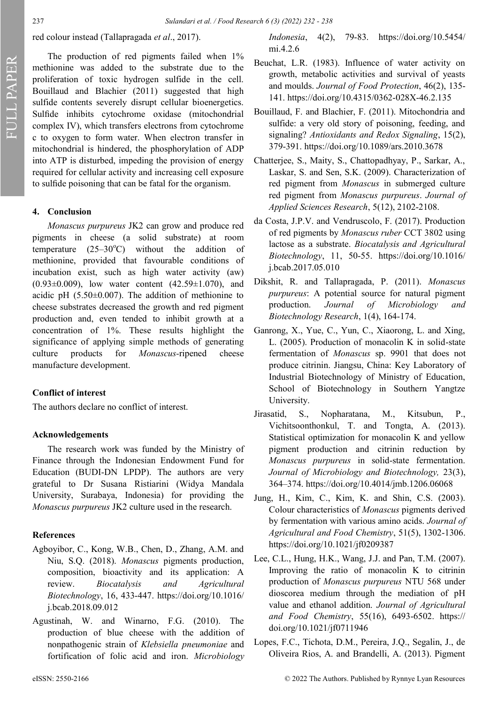red colour instead (Tallapragada *et al*., 2017).

The production of red pigments failed when  $1\%$ methionine was added to the substrate due to the proliferation of toxic hydrogen sulfide in the cell. Bouillaud and Blachier (2011) suggested that high sulfide contents severely disrupt cellular bioenergetics. Sulfide inhibits cytochrome oxidase (mitochondrial complex IV), which transfers electrons from cytochrome c to oxygen to form water. When electron transfer in mitochondrial is hindered, the phosphorylation of ADP into ATP is disturbed, impeding the provision of energy required for cellular activity and increasing cell exposure to sulfide poisoning that can be fatal for the organism.

# **4. Conclusion**

*Monascus purpureus* JK2 can grow and produce red pigments in cheese (a solid substrate) at room temperature  $(25-30^{\circ}\text{C})$  without the addition of methionine, provided that favourable conditions of incubation exist, such as high water activity (aw)  $(0.93\pm0.009)$ , low water content  $(42.59\pm1.070)$ , and acidic pH  $(5.50\pm0.007)$ . The addition of methionine to cheese substrates decreased the growth and red pigment production and, even tended to inhibit growth at a concentration of 1%. These results highlight the significance of applying simple methods of generating culture products for *Monascus-*ripened cheese manufacture development.

## **Conflict of interest**

The authors declare no conflict of interest.

#### **Acknowledgements**

The research work was funded by the Ministry of Finance through the Indonesian Endowment Fund for Education (BUDI-DN LPDP). The authors are very grateful to Dr Susana Ristiarini (Widya Mandala University, Surabaya, Indonesia) for providing the *Monascus purpureus* JK2 culture used in the research.

# **References**

- Agboyibor, C., Kong, W.B., Chen, D., Zhang, A.M. and Niu, S.Q. (2018). *Monascus* pigments production, composition, bioactivity and its application: A review. *Biocatalysis and Agricultural Biotechnology*, 16, 433-447. https://doi.org/10.1016/ j.bcab.2018.09.012
- Agustinah, W. and Winarno, F.G. (2010). The production of blue cheese with the addition of nonpathogenic strain of *Klebsiella pneumoniae* and fortification of folic acid and iron. *Microbiology*

*Indonesia*, 4(2), 79-83. https://doi.org/10.5454/ mi.4.2.6

- Beuchat, L.R. (1983). Influence of water activity on growth, metabolic activities and survival of yeasts and moulds. *Journal of Food Protection*, 46(2), 135- 141. https://doi.org/10.4315/0362-028X-46.2.135
- Bouillaud, F. and Blachier, F. (2011). Mitochondria and sulfide: a very old story of poisoning, feeding, and signaling? *Antioxidants and Redox Signaling*, 15(2), 379-391. https://doi.org/10.1089/ars.2010.3678
- Chatterjee, S., Maity, S., Chattopadhyay, P., Sarkar, A., Laskar, S. and Sen, S.K. (2009). Characterization of red pigment from *Monascus* in submerged culture red pigment from *Monascus purpureus*. *Journal of Applied Sciences Research*, 5(12), 2102-2108.
- da Costa, J.P.V. and Vendruscolo, F. (2017). Production of red pigments by *Monascus ruber* CCT 3802 using lactose as a substrate. *Biocatalysis and Agricultural Biotechnology*, 11, 50-55. https://doi.org/10.1016/ j.bcab.2017.05.010
- Dikshit, R. and Tallapragada, P. (2011). *Monascus purpureus*: A potential source for natural pigment production. *Journal of Microbiology and Biotechnology Research*, 1(4), 164-174.
- Ganrong, X., Yue, C., Yun, C., Xiaorong, L. and Xing, L. (2005). Production of monacolin K in solid-state fermentation of *Monascus* sp. 9901 that does not produce citrinin. Jiangsu, China: Key Laboratory of Industrial Biotechnology of Ministry of Education, School of Biotechnology in Southern Yangtze University.
- Jirasatid, S., Nopharatana, M., Kitsubun, P., Vichitsoonthonkul, T. and Tongta, A. (2013). Statistical optimization for monacolin K and yellow pigment production and citrinin reduction by *Monascus purpureus* in solid-state fermentation. *Journal of Microbiology and Biotechnology,* 23(3), 364–374. https://doi.org/10.4014/jmb.1206.06068
- Jung, H., Kim, C., Kim, K. and Shin, C.S. (2003). Colour characteristics of *Monascus* pigments derived by fermentation with various amino acids. *Journal of Agricultural and Food Chemistry*, 51(5), 1302-1306. https://doi.org/10.1021/jf0209387
- Lee, C.L., Hung, H.K., Wang, J.J. and Pan, T.M. (2007). Improving the ratio of monacolin K to citrinin production of *Monascus purpureus* NTU 568 under dioscorea medium through the mediation of pH value and ethanol addition. *Journal of Agricultural and Food Chemistry*, 55(16), 6493-6502. https:// doi.org/10.1021/jf0711946
- Lopes, F.C., Tichota, D.M., Pereira, J.Q., Segalin, J., de Oliveira Rios, A. and Brandelli, A. (2013). Pigment